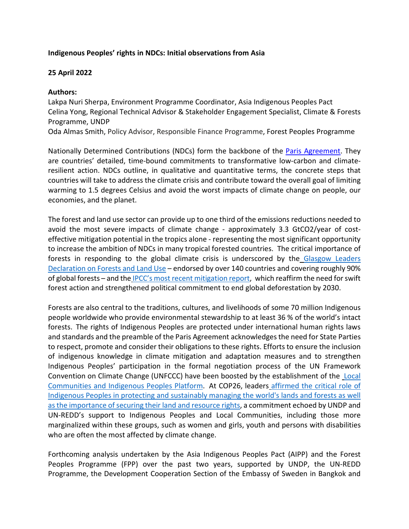## **Indigenous Peoples' rights in NDCs: Initial observations from Asia**

## **25 April 2022**

## **Authors:**

Lakpa Nuri Sherpa, Environment Programme Coordinator, Asia Indigenous Peoples Pact Celina Yong, Regional Technical Advisor & Stakeholder Engagement Specialist, Climate & Forests Programme, UNDP

Oda Almas Smith, Policy Advisor, Responsible Finance Programme, Forest Peoples Programme

Nationally Determined Contributions (NDCs) form the backbone of the [Paris Agreement.](https://unfccc.int/sites/default/files/english_paris_agreement.pdf) They are countries' detailed, time-bound commitments to transformative low-carbon and climateresilient action. NDCs outline, in qualitative and quantitative terms, the concrete steps that countries will take to address the climate crisis and contribute toward the overall goal of limiting warming to 1.5 degrees Celsius and avoid the worst impacts of climate change on people, our economies, and the planet.

The forest and land use sector can provide up to one third of the emissions reductions needed to avoid the most severe impacts of climate change - approximately 3.3 GtCO2/year of costeffective mitigation potential in the tropics alone - representing the most significant opportunity to increase the ambition of NDCs in many tropical forested countries. The critical importance of forests in responding to the global climate crisis is underscored by the [Glasgow Leaders](https://ukcop26.org/glasgow-leaders-declaration-on-forests-and-land-use/)  [Declaration on Forests and Land Use](https://ukcop26.org/glasgow-leaders-declaration-on-forests-and-land-use/) – endorsed by over 140 countries and covering roughly 90% of global forests – and the [IPCC's most recent mitigation report,](https://www.ipcc.ch/report/ar6/wg3/) which reaffirm the need for swift forest action and strengthened political commitment to end global deforestation by 2030.

Forests are also central to the traditions, cultures, and livelihoods of some 70 million Indigenous people worldwide who provide environmental stewardship to at least 36 % of the world's intact forests. The rights of Indigenous Peoples are protected under international human rights laws and standards and the preamble of the Paris Agreement acknowledges the need for State Parties to respect, promote and consider their obligations to these rights. Efforts to ensure the inclusion of indigenous knowledge in climate mitigation and adaptation measures and to strengthen Indigenous Peoples' participation in the formal negotiation process of the UN Framework Convention on Climate Change (UNFCCC) have been boosted by the establishment of the [Local](https://lcipp.unfccc.int/homepage)  Communities and [Indigenous Peoples Platform.](https://lcipp.unfccc.int/homepage) At COP26, leaders [affirmed the critical role of](https://ukcop26.org/cop26-iplc-forest-tenure-joint-donor-statement/)  [Indigenous Peoples in protecting and sustainably managing the world's lands and forests](https://ukcop26.org/cop26-iplc-forest-tenure-joint-donor-statement/) as well as the importance of securing their land and resource rights, a commitment echoed by UNDP and UN-REDD's support to Indigenous Peoples and Local Communities, including those more marginalized within these groups, such as women and girls, youth and persons with disabilities who are often the most affected by climate change.

Forthcoming analysis undertaken by the Asia Indigenous Peoples Pact (AIPP) and the Forest Peoples Programme (FPP) over the past two years, supported by UNDP, the UN-REDD Programme, the Development Cooperation Section of the Embassy of Sweden in Bangkok and